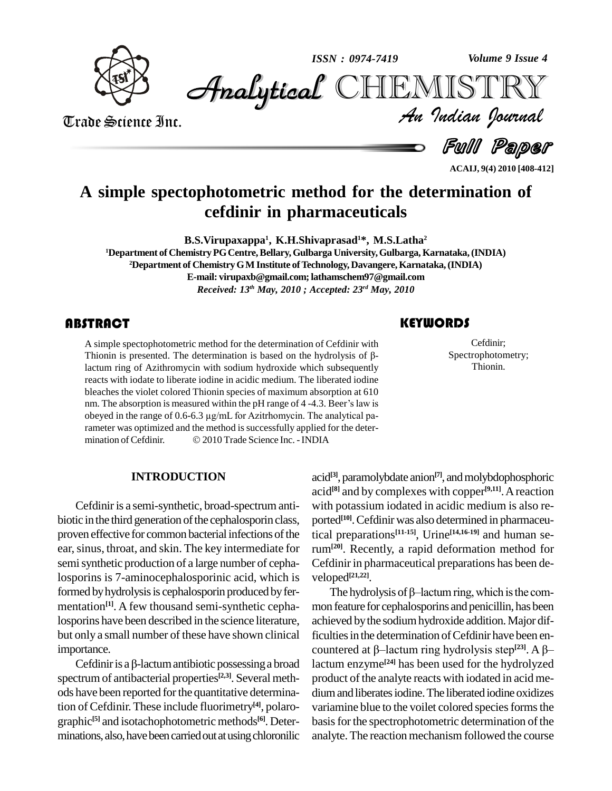

*Volume 9 Issue 4*



Trade Science Inc. Trade Science Inc.

*Volume 9 Issue 4*<br>IISTRY<br>*Indian Iournal* 

Full Paper

**ACAIJ, 9(4) 2010 [408-412]**

## **A simple spectophotometric method for the determination of cefdinir in pharmaceuticals**

**B.S.Virupaxappa 1 , K.H.Shivaprasad <sup>1</sup>\*, M.S.Latha 2**

**<sup>1</sup>Department of ChemistryPGCentre,Bellary,Gulbarga University,Gulbarga, Karnataka,(INDIA) <sup>2</sup>Department of ChemistryGM Institute ofTechnology, Davangere,Karnataka,(INDIA) E-mail: [virupaxb@gmail.com;lathams](mailto:virupaxb@gmail.com;)[chem97@gmail.com](mailto:lathamschem97@gmail.com)**

*Received: 13 th May, 2010 ; Accepted: 23 rd May, 2010*

A simple spectophotometric method for the determination of Cefdinir with<br>Thionin is presented. The determination is based on the hydrolysis of  $\beta$ -<br>lactum ring of Azithromycin with sodium hydroxide which subsequently A simple spectophotometric method for the determination of Cefdinir with THIMM THIMM THIMM THIMM THIMM STATES A simple spectophotometric method for the determination of Cefdinir with<br>Thionin is presented. The determination is based on the hydrolysis of  $\beta$ reacts with iodate to liberate iodine in acidic medium. The liberated iodine bleaches the violet colored Thionin species of maximum absorption at 610 reacts with iodate to liberate iodine in acidic medium. The liberated iodine<br>bleaches the violet colored Thionin species of maximum absorption at 610<br>nm. The absorption is measured within the pH range of 4 -4.3. Beer's law bleaches the violet colored Thionin species of maximum absorption at 610 nm. The absorption is measured within the pH range of 4-4.3. Beer's law is obeyed in the range of 0.6-6.3 µg/mL for Azitrhomycin. The analytical parameter was optimized and the method is successfully applied for the deter-% obeyed in the range of 0.6-6.3  $\mu$ g/mL for Azitrhomycin. The analytical parameter was optimized and the method is successfully applied for the determination of Cefdinir.  $\textcircled{2010}$  Trade Science Inc. - INDIA

### **INTRODUCTION**

Cefdinir is a semi-synthetic, broad-spectrum antibiotic in the third generation of the cephalosporin class, proven effective for common bacterial infections of the ear, sinus, throat, and skin. The key intermediate for semisynthetic production of a large number of cephalosporins is 7-aminocephalosporinic acid, which is formed by hydrolysis is cephalosporin produced by fer-<br>The hydrolysis of  $\beta$ -lactum ring, which is the commentation **[1]**. A few thousand semi-synthetic cephalosporins have been described in the science literature, but only a small number of these have shown clinical ficultie<br>importance. counte<br>Cefdinir is a β-lactum antibiotic possessing a broad lactum importance.

spectrum of antibacterial properties **[2,3]**. Several meth ods have been reported for the quantitative determination of Cefdinir. These include fluorimetry<sup>[4]</sup>, polaro- vari graphic **[5]** and isotachophotometric methods **[6]**. Deter minations, also, have been carried out at using chloronilic

### acid<sup>[3]</sup>, paramolybdate anion<sup>[7]</sup>, and molybdophosphoric acid **[8]** and by complexes with copper **[9,11]**.Areaction with potassium iodated in acidic medium is also re ported **[10]**.Cefdinir was also determined in pharmaceutical preparations **[11-15]**, Urine **[14,16-19]** and human serum**[20]**. Recently, a rapid deformation method for Cefdinir in pharmaceutical preparations has been developed<sup>[21,22]</sup>.<br>The hydrolysis of  $\beta$ -lactum ring, which is the comveloped **[21,22]**.

mon feature for cephalosporins and penicillin, has been achieved bythe sodiumhydroxide addition.Major difficulties in the determination of Cefdinir have been enachieved by the sodium hydroxide addition. Major dif-<br>ficulties in the determination of Cefdinir have been en-<br>countered at β–lactum ring hydrolysis step<sup>[23]</sup>. A β– lactum enzyme **[24]** has been used for the hydrolyzed product of the analyte reacts with iodated in acid me dium and liberates iodine. The liberated iodine oxidizes variamine blue to the voilet colored species forms the basis for the spectrophotometric determination of the analyte. The reaction mechanism followed the course

Cefdinir;<br>Spectrophotome<br>Thionin. Cefdinir; Spectrophotometry; Thionin.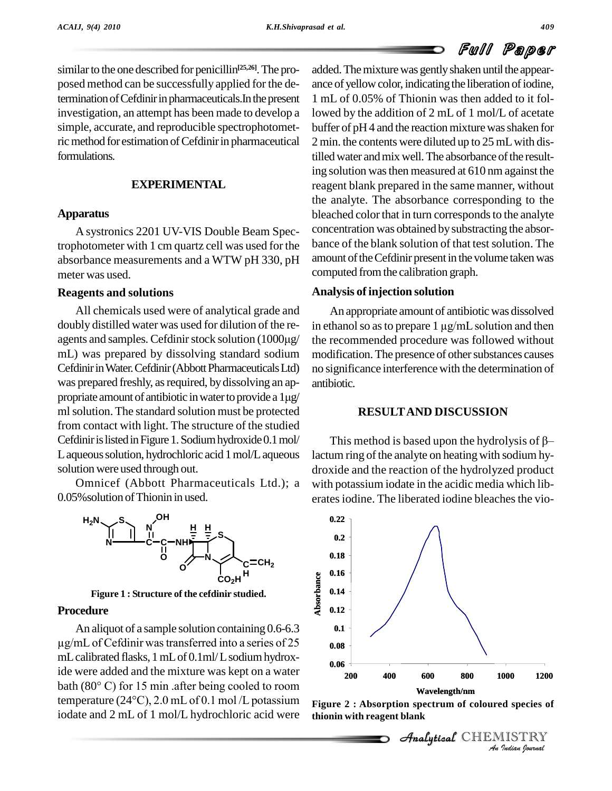similar to the one described for penicillin<sup>[25,26]</sup>. The pro- add posed method can be successfully applied for the determination of Cefdinir in pharmaceuticals. In the present investigation, an attempt has been made to develop a simple, accurate, and reproducible spectrophotometric method for estimation of Cefdinir in pharmaceutical formulations.

### **EXPERIMENTAL**

### **Apparatus**

A systronics 2201 UV-VIS Double Beam Spectrophotometer with 1 cm quartz cell was used for the absorbance measurements and a WTW pH 330, pH meter was used.

### **Reagents and solutions**

All chemicals used were of analytical grade and doubly distilled water was used for dilution of the re agents and samples. Cefdinir stock solution  $(1000\mu\text{g})$ mL) was prepared by dissolving standard sodium Cefdinir in Water. Cefdinir (Abbott Pharmaceuticals Ltd) was prepared freshly, as required, by dissolving an ap- anti Cefdinir in Water. Cefdinir (Abbott Pharmaceuticals Ltd) no<br>was prepared freshly, as required, by dissolving an appropriate amount of antibiotic in water to provide a  $1\mu g/$ ml solution. The standard solution must be protected from contact with light. The structure of the studied Cefdinir is listed in Figure 1. Sodium hydroxide 0.1 mol/ L aqueous solution, hydrochloric acid 1 mol/L aqueous solution were used through out.

Omnicef (Abbott Pharmaceuticals Ltd.); a 0.05%solution ofThionin in used.



**Figure 1 : Structure of the cefdinir studied.**

### Procedure

An aliquot of a sample solution containing 0.6-6.3 **0.1 ure**  $\ddot{\mathbf{\epsilon}}$  **0.12**<br>aliquot of a sample solution containing 0.6-6.3 **0.1**<br>of Cefdinir was transferred into a series of 25 **0.09** mLcalibrated flasks, 1mLof 0.1ml/Lsodiumhydroxide were added and the mixture was kept on a water mL calibrated flasks, 1 mL of 0.1ml/L sodium hydroxide were added and the mixture was kept on a water bath (80 $^{\circ}$  C) for 15 min .after being cooled to room ide were added and the mixture was kept on a water<br>bath (80°C) for 15 min .after being cooled to room<br>temperature (24°C), 2.0 mL of 0.1 mol /L potassium Figure 2: A iodate and 2 mL of 1 mol/L hydrochloric acid were

added. The mixture was gently shaken until the appearance of yellow color, indicating the liberation of iodine, 1 mL of 0.05% of Thionin was then added to it followed by the addition of 2 mL of 1 mol/L of acetate buffer of  $pH4$  and the reaction mixture was shaken for 2 min. the contents were diluted up to 25 mLwith distilled water and mix well. The absorbance of the resulting solution wasthen measured at 610 nm against the reagent blank prepared in the same manner, without the analyte. The absorbance corresponding to the bleached color that in turn corresponds to the analyte concentration was obtained by substracting the absorbance of the blank solution of that test solution. The amount of the Cefdinir present in the volume taken was computed from the calibration graph.

### **Analysis of injection solution**

An appropriate amount of antibiotic was dissolved in ethanol so as to prepare  $1 \mu g/mL$  solution and then the recommended procedure was followed without modification. The presence of other substances causes no significance interference with the determination of antibiotic.

### **RESULTAND DISCUSSION**

This method is based upon the hydrolysis of  $\beta$ lactum ring of the analyte on heating with sodium hydroxide and the reaction of the hydrolyzed product with potassium iodate in the acidic media which lib erates iodine. The liberated iodine bleaches the vio-





**Analytical** CHEMISTRY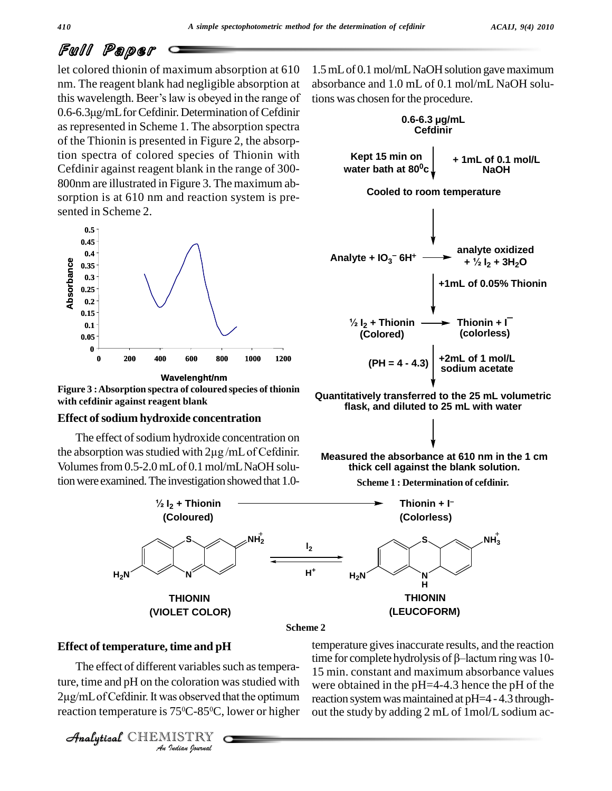let colored thionin of maximum absorption at 610 nm. The reagent blank had negligible absorption at let colored thionin of maximum absorption at 610 1.5<br>nm. The reagent blank had negligible absorption at absorption<br>this wavelength. Beer's law is obeyed in the range of tion nm. The reagent blank had negligible absorption at absothis wavelength. Beer's law is obeyed in the range of tion 0.6-6.3µg/mL for Cefdinir. Determination of Cefdinir as represented in Scheme 1. The absorption spectra of the Thionin is presented in Figure 2, the absorption spectra of colored species of Thionin with Cefdinir against reagent blank in the range of 300- 800nm are illustrated in Figure 3. The maximum ab sorption is at 610 nm and reaction system is pre sented in Scheme 2.



**Figure 3 :Absorption spectra of coloured species of thionin with cefdinir against reagent blank**

### **Effect ofsodium hydroxide concentration**

The effect of sodium hydroxide concentration on the absorption was studied with  $2\mu$ g/mL of Cefdinir. Volumes from 0.5-2.0 mL of 0.1 mol/mLNaOH solution were examined. The investigation showed that 1.0-

1.5 mL of 0.1 mol/mL NaOH solution gave maximum absorbance and 1.0 mL of 0.1 mol/mL NaOH solu-



**Quantitatively transferred to the 25 mL volumetric flask, and diluted to 25 mL with water**



**Scheme 1 : Determination of cefdinir.**



**Scheme 2**

### **Effect of temperature, time and pH**

The effect of different variables such as tempera-*Indian Indian*<br> *Indian*<br> *Indian*<br> *I*<br> *Indian Sparaal* ture, time and pH on the coloration was studied with 2µg/mL of Cefdinir. It was observed that the optimum reaction temperature is 75<sup>o</sup>C-85<sup>o</sup>C, lower or higher out

CHEMISTRY

temperature givesinaccurate results, and the reaction time for complete hydrolysis of  $\beta$ -lactum ring was 10-15 min. constant and maximum absorbance values were obtained in the pH=4-4.3 hence the pH of the reaction system was maintained at pH=4 - 4.3 throughout the study by adding 2 mL of 1mol/L sodium ac-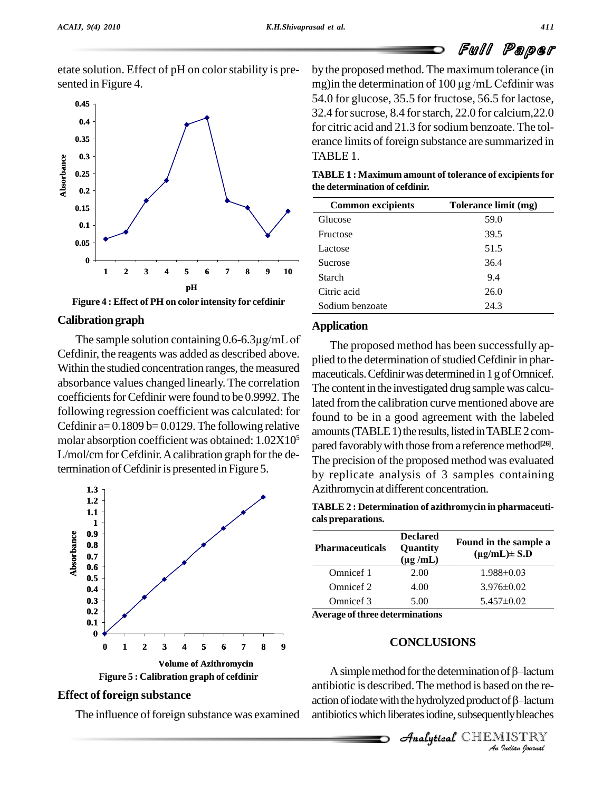etate solution. Effect of pH on color stability is presented in Figure 4.



**Figure 4 : Effect of PH on color intensity for cefdinir**

### **Calibrationgraph**

The sample solution containing 0.6-6.3µg/mL of Cefdinir, the reagents was added as described above. Within the studied concentration ranges, the measured absorbance values changed linearly. The correlation coefficients for Cefdinir were found to be 0.9992. The following regression coefficient was calculated: for Cefdinir a=  $0.1809$  b=  $0.0129$ . The following relative molar absorption coefficient was obtained: 1.02X10 L/mol/cm for Cefdinir. A calibration graph for the determination of Cefdinir is presented in Figure 5.



### **Effect of foreign substance**

The influence of foreign substance was examined

by the proposed method. The maximum tolerance (in by the proposed method. The maximum tolerance (in mg) in the determination of 100  $\mu$ g /mL Cefdinir was 54.0 for glucose, 35.5 for fructose, 56.5 for lactose, 32.4 for sucrose,  $8.4$  for starch,  $22.0$  for calcium,  $22.0$ for citric acid and 21.3 for sodium benzoate. The tolerance limits of foreign substance are summarized in TABLE 1.

| <b>TABLE 1 : Maximum amount of tolerance of excipients for</b> |  |
|----------------------------------------------------------------|--|
| the determination of cefdinir.                                 |  |

| <b>Common excipients</b> | Tolerance limit (mg) |
|--------------------------|----------------------|
| Glucose                  | 59.0                 |
| Fructose                 | 39.5                 |
| Lactose                  | 51.5                 |
| <b>Sucrose</b>           | 36.4                 |
| Starch                   | 9.4                  |
| Citric acid              | 26.0                 |
| Sodium benzoate          | 24.3                 |

### **Application**

 $\frac{1}{5}$  and  $\frac{1}{26}$  of  $\frac{1}{26}$  of  $\frac{1}{26}$  of  $\frac{1}{26}$  of  $\frac{1}{26}$  or  $\frac{1}{26}$  or  $\frac{1}{26}$  or  $\frac{1}{26}$  or  $\frac{1}{26}$  or  $\frac{1}{26}$  or  $\frac{1}{26}$  or  $\frac{1}{26}$  or  $\frac{1}{26}$  or  $\frac{1}{26}$  or  $\frac{1}{26}$  The proposed method has been successfully ap plied to the determination of studied Cefdinir in pharmaceuticals. Cefdinir was determined in 1 g of Omnicef. The content in the investigated drug samplewas calculated from the calibration curve mentioned above are found to be in a good agreement with the labeled amounts (TABLE 1) the results, listed in TABLE 2 com-The precision of the proposed method was evaluated by replicate analysis of 3 samples containing Azithromycin atdifferent concentration.

**TABLE 2 : Determination of azithromycin in pharmaceuti cals preparations.**

| <b>Pharmaceuticals</b> | <b>Declared</b><br>Quantity<br>$(\mu g / mL)$ | Found in the sample a<br>$(\mu g/mL) \pm S.D$ |
|------------------------|-----------------------------------------------|-----------------------------------------------|
| Omnicef 1              | 2.00                                          | $1.988 \pm 0.03$                              |
| Omnicef 2              | 4.00                                          | $3.976\pm0.02$                                |
| Omnicef 3              | 5.00                                          | $5.457\pm0.02$                                |

**Average ofthree determinations**

### **CONCLUSIONS**

**A** simple method for the determination of  $\beta$ -lactum<br>biotic is described. The method is based on the re-<br>on of iodate with the hydrolyzed product of  $\beta$ -lactum<br>biotics which liberates iodine, subsequently bleaches<br>**Ana** antibiotic is described.The method isbased on the re- A simple method for the determination of  $\beta$ —lactum<br>antibiotic is described. The method is based on the re-<br>action of iodate with the hydrolyzed product of  $\beta$ —lactum antibiotics which liberates iodine, subsequently bleaches

**Analytical** CHEMISTRY